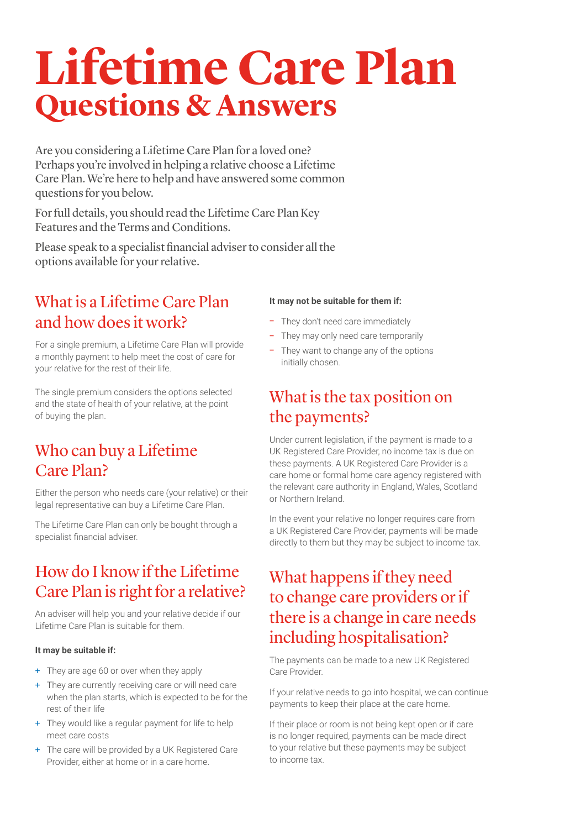# **Lifetime Care Plan Questions & Answers**

Are you considering a Lifetime Care Plan for a loved one? Perhaps you're involved in helping a relative choose a Lifetime Care Plan. We're here to help and have answered some common questions for you below.

For full details, you should read the Lifetime Care Plan Key Features and the Terms and Conditions.

Please speak to a specialist financial adviser to consider all the options available for your relative.

## What is a Lifetime Care Plan and how does it work?

For a single premium, a Lifetime Care Plan will provide a monthly payment to help meet the cost of care for your relative for the rest of their life.

The single premium considers the options selected and the state of health of your relative, at the point of buying the plan.

## Who can buy a Lifetime Care Plan?

Either the person who needs care (your relative) or their legal representative can buy a Lifetime Care Plan.

The Lifetime Care Plan can only be bought through a specialist financial adviser.

# How do I know if the Lifetime Care Plan is right for a relative?

An adviser will help you and your relative decide if our Lifetime Care Plan is suitable for them.

#### **It may be suitable if:**

- + They are age 60 or over when they apply
- + They are currently receiving care or will need care when the plan starts, which is expected to be for the rest of their life
- + They would like a regular payment for life to help meet care costs
- + The care will be provided by a UK Registered Care Provider, either at home or in a care home.

#### **It may not be suitable for them if:**

- They don't need care immediately
- They may only need care temporarily
- They want to change any of the options initially chosen.

#### What is the tax position on the payments?

Under current legislation, if the payment is made to a UK Registered Care Provider, no income tax is due on these payments. A UK Registered Care Provider is a care home or formal home care agency registered with the relevant care authority in England, Wales, Scotland or Northern Ireland.

In the event your relative no longer requires care from a UK Registered Care Provider, payments will be made directly to them but they may be subject to income tax.

# What happens if they need to change care providers or if there is a change in care needs including hospitalisation?

The payments can be made to a new UK Registered Care Provider.

If your relative needs to go into hospital, we can continue payments to keep their place at the care home.

If their place or room is not being kept open or if care is no longer required, payments can be made direct to your relative but these payments may be subject to income tax.